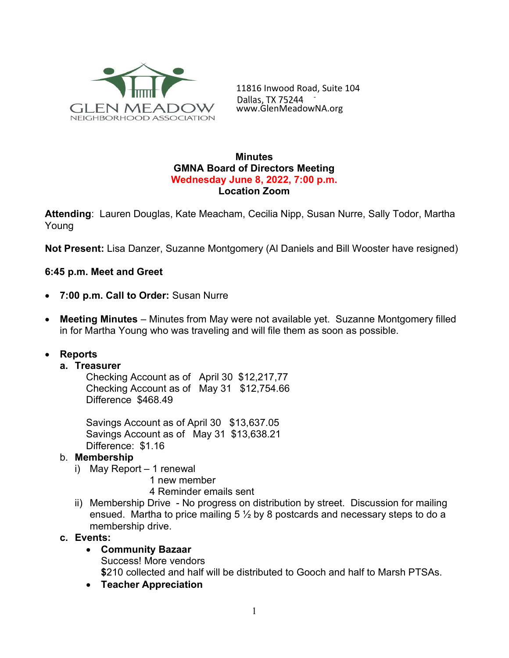

11816 Inwood Road, Suite 104 Dallas, TX 75244<br>www.GlenMeadowNA.org

#### **Minutes** GMNA Board of Directors Meeting Wednesday June 8, 2022, 7:00 p.m. Location Zoom

Attending: Lauren Douglas, Kate Meacham, Cecilia Nipp, Susan Nurre, Sally Todor, Martha Young

Not Present: Lisa Danzer, Suzanne Montgomery (Al Daniels and Bill Wooster have resigned)

### 6:45 p.m. Meet and Greet

- 7:00 p.m. Call to Order: Susan Nurre
- Meeting Minutes Minutes from May were not available yet. Suzanne Montgomery filled in for Martha Young who was traveling and will file them as soon as possible.

### Reports

#### a. Treasurer

Checking Account as of April 30 \$12,217,77 Checking Account as of May 31 \$12,754.66 Difference \$468.49

Savings Account as of April 30 \$13,637.05 Savings Account as of May 31 \$13,638.21 Difference: \$1.16

#### b. Membership

- i) May Report 1 renewal
	- 1 new member
	- 4 Reminder emails sent
- ii) Membership Drive No progress on distribution by street. Discussion for mailing ensued. Martha to price mailing 5  $\frac{1}{2}$  by 8 postcards and necessary steps to do a membership drive.

#### c. Events:

- Community Bazaar Success! More vendors \$210 collected and half will be distributed to Gooch and half to Marsh PTSAs.
- Teacher Appreciation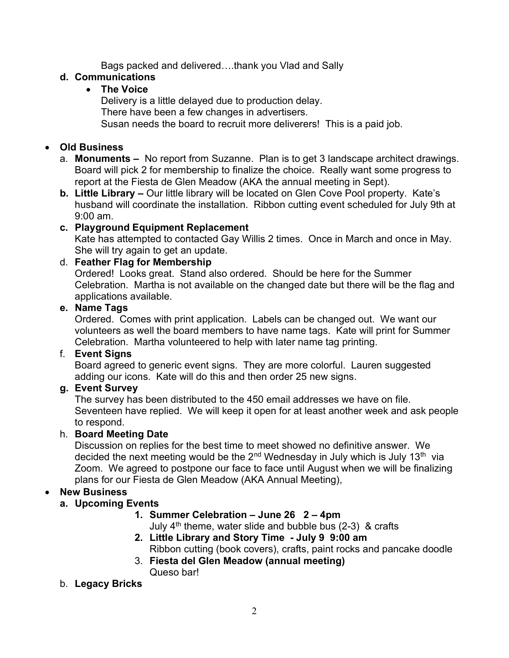Bags packed and delivered….thank you Vlad and Sally

### d. Communications

## The Voice

Delivery is a little delayed due to production delay. There have been a few changes in advertisers. Susan needs the board to recruit more deliverers! This is a paid job.

# Old Business

- a. Monuments No report from Suzanne. Plan is to get 3 landscape architect drawings. Board will pick 2 for membership to finalize the choice. Really want some progress to report at the Fiesta de Glen Meadow (AKA the annual meeting in Sept).
- b. Little Library Our little library will be located on Glen Cove Pool property. Kate's husband will coordinate the installation. Ribbon cutting event scheduled for July 9th at 9:00 am.

# c. Playground Equipment Replacement

Kate has attempted to contacted Gay Willis 2 times. Once in March and once in May. She will try again to get an update.

## d. Feather Flag for Membership

Ordered! Looks great. Stand also ordered. Should be here for the Summer Celebration. Martha is not available on the changed date but there will be the flag and applications available.

### e. Name Tags

Ordered. Comes with print application. Labels can be changed out. We want our volunteers as well the board members to have name tags. Kate will print for Summer Celebration. Martha volunteered to help with later name tag printing.

### f. Event Signs

Board agreed to generic event signs. They are more colorful. Lauren suggested adding our icons. Kate will do this and then order 25 new signs.

# g. Event Survey

The survey has been distributed to the 450 email addresses we have on file. Seventeen have replied. We will keep it open for at least another week and ask people to respond.

### h. Board Meeting Date

Discussion on replies for the best time to meet showed no definitive answer. We decided the next meeting would be the  $2<sup>nd</sup>$  Wednesday in July which is July 13<sup>th</sup> via Zoom. We agreed to postpone our face to face until August when we will be finalizing plans for our Fiesta de Glen Meadow (AKA Annual Meeting),

# New Business

# a. Upcoming Events

### 1. Summer Celebration – June 26 2 – 4pm

July  $4<sup>th</sup>$  theme, water slide and bubble bus (2-3) & crafts

- 2. Little Library and Story Time July 9 9:00 am Ribbon cutting (book covers), crafts, paint rocks and pancake doodle
- 3. Fiesta del Glen Meadow (annual meeting) Queso bar!

### b. Legacy Bricks